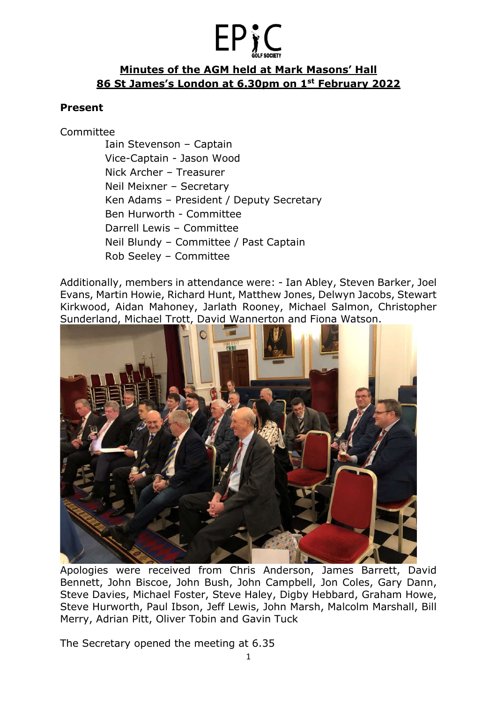# **EPy**

#### Minutes of the AGM held at Mark Masons' Hall 86 St James's London at 6.30pm on 1st February 2022

#### Present

Committee

Iain Stevenson – Captain Vice-Captain - Jason Wood Nick Archer – Treasurer Neil Meixner – Secretary Ken Adams – President / Deputy Secretary Ben Hurworth - Committee Darrell Lewis – Committee Neil Blundy – Committee / Past Captain Rob Seeley – Committee

Additionally, members in attendance were: - Ian Abley, Steven Barker, Joel Evans, Martin Howie, Richard Hunt, Matthew Jones, Delwyn Jacobs, Stewart Kirkwood, Aidan Mahoney, Jarlath Rooney, Michael Salmon, Christopher Sunderland, Michael Trott, David Wannerton and Fiona Watson.



Apologies were received from Chris Anderson, James Barrett, David Bennett, John Biscoe, John Bush, John Campbell, Jon Coles, Gary Dann, Steve Davies, Michael Foster, Steve Haley, Digby Hebbard, Graham Howe, Steve Hurworth, Paul Ibson, Jeff Lewis, John Marsh, Malcolm Marshall, Bill Merry, Adrian Pitt, Oliver Tobin and Gavin Tuck

The Secretary opened the meeting at 6.35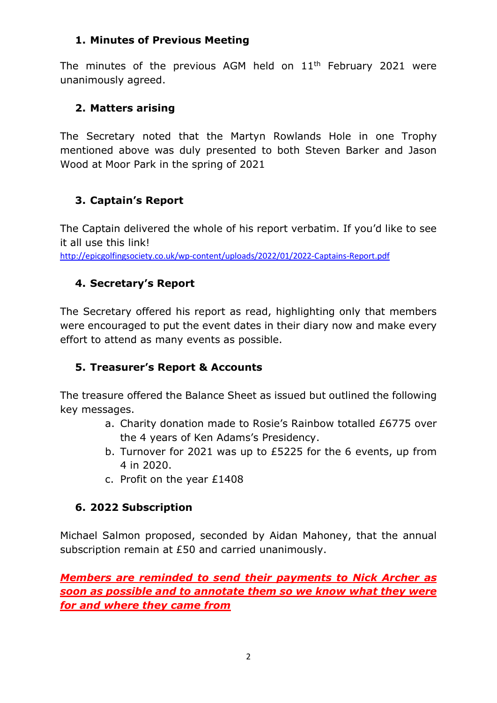#### 1. Minutes of Previous Meeting

The minutes of the previous AGM held on  $11<sup>th</sup>$  February 2021 were unanimously agreed.

#### 2. Matters arising

The Secretary noted that the Martyn Rowlands Hole in one Trophy mentioned above was duly presented to both Steven Barker and Jason Wood at Moor Park in the spring of 2021

### 3. Captain's Report

The Captain delivered the whole of his report verbatim. If you'd like to see it all use this link!

http://epicgolfingsociety.co.uk/wp-content/uploads/2022/01/2022-Captains-Report.pdf

# 4. Secretary's Report

The Secretary offered his report as read, highlighting only that members were encouraged to put the event dates in their diary now and make every effort to attend as many events as possible.

### 5. Treasurer's Report & Accounts

The treasure offered the Balance Sheet as issued but outlined the following key messages.

- a. Charity donation made to Rosie's Rainbow totalled £6775 over the 4 years of Ken Adams's Presidency.
- b. Turnover for 2021 was up to £5225 for the 6 events, up from 4 in 2020.
- c. Profit on the year £1408

### 6. 2022 Subscription

Michael Salmon proposed, seconded by Aidan Mahoney, that the annual subscription remain at £50 and carried unanimously.

Members are reminded to send their payments to Nick Archer as soon as possible and to annotate them so we know what they were for and where they came from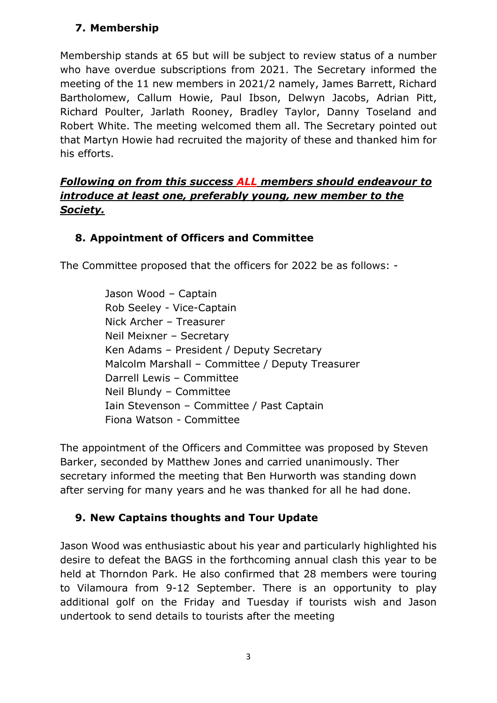## 7. Membership

Membership stands at 65 but will be subject to review status of a number who have overdue subscriptions from 2021. The Secretary informed the meeting of the 11 new members in 2021/2 namely, James Barrett, Richard Bartholomew, Callum Howie, Paul Ibson, Delwyn Jacobs, Adrian Pitt, Richard Poulter, Jarlath Rooney, Bradley Taylor, Danny Toseland and Robert White. The meeting welcomed them all. The Secretary pointed out that Martyn Howie had recruited the majority of these and thanked him for his efforts.

### Following on from this success ALL members should endeavour to introduce at least one, preferably young, new member to the Society.

# 8. Appointment of Officers and Committee

The Committee proposed that the officers for 2022 be as follows: -

Jason Wood – Captain Rob Seeley - Vice-Captain Nick Archer – Treasurer Neil Meixner – Secretary Ken Adams – President / Deputy Secretary Malcolm Marshall – Committee / Deputy Treasurer Darrell Lewis – Committee Neil Blundy – Committee Iain Stevenson – Committee / Past Captain Fiona Watson - Committee

The appointment of the Officers and Committee was proposed by Steven Barker, seconded by Matthew Jones and carried unanimously. Ther secretary informed the meeting that Ben Hurworth was standing down after serving for many years and he was thanked for all he had done.

# 9. New Captains thoughts and Tour Update

Jason Wood was enthusiastic about his year and particularly highlighted his desire to defeat the BAGS in the forthcoming annual clash this year to be held at Thorndon Park. He also confirmed that 28 members were touring to Vilamoura from 9-12 September. There is an opportunity to play additional golf on the Friday and Tuesday if tourists wish and Jason undertook to send details to tourists after the meeting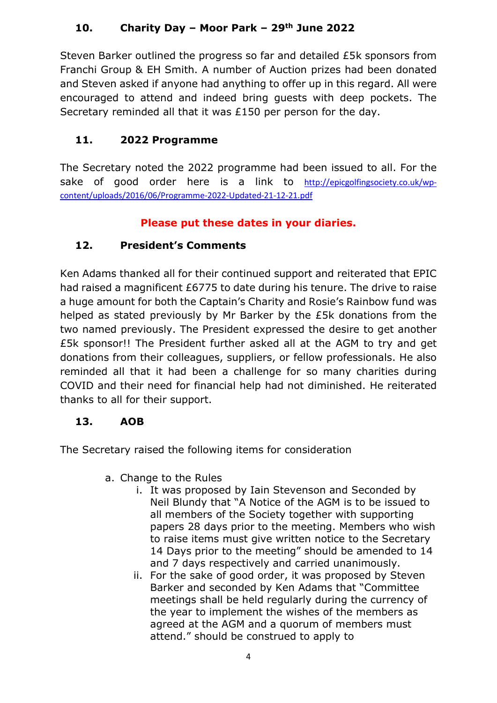# 10. Charity Day – Moor Park – 29th June 2022

Steven Barker outlined the progress so far and detailed £5k sponsors from Franchi Group & EH Smith. A number of Auction prizes had been donated and Steven asked if anyone had anything to offer up in this regard. All were encouraged to attend and indeed bring guests with deep pockets. The Secretary reminded all that it was £150 per person for the day.

# 11. 2022 Programme

The Secretary noted the 2022 programme had been issued to all. For the sake of good order here is a link to http://epicgolfingsociety.co.uk/wpcontent/uploads/2016/06/Programme-2022-Updated-21-12-21.pdf

# Please put these dates in your diaries.

# 12. President's Comments

Ken Adams thanked all for their continued support and reiterated that EPIC had raised a magnificent £6775 to date during his tenure. The drive to raise a huge amount for both the Captain's Charity and Rosie's Rainbow fund was helped as stated previously by Mr Barker by the £5k donations from the two named previously. The President expressed the desire to get another £5k sponsor!! The President further asked all at the AGM to try and get donations from their colleagues, suppliers, or fellow professionals. He also reminded all that it had been a challenge for so many charities during COVID and their need for financial help had not diminished. He reiterated thanks to all for their support.

### 13. AOB

The Secretary raised the following items for consideration

- a. Change to the Rules
	- i. It was proposed by Iain Stevenson and Seconded by Neil Blundy that "A Notice of the AGM is to be issued to all members of the Society together with supporting papers 28 days prior to the meeting. Members who wish to raise items must give written notice to the Secretary 14 Days prior to the meeting" should be amended to 14 and 7 days respectively and carried unanimously.
	- ii. For the sake of good order, it was proposed by Steven Barker and seconded by Ken Adams that "Committee meetings shall be held regularly during the currency of the year to implement the wishes of the members as agreed at the AGM and a quorum of members must attend." should be construed to apply to